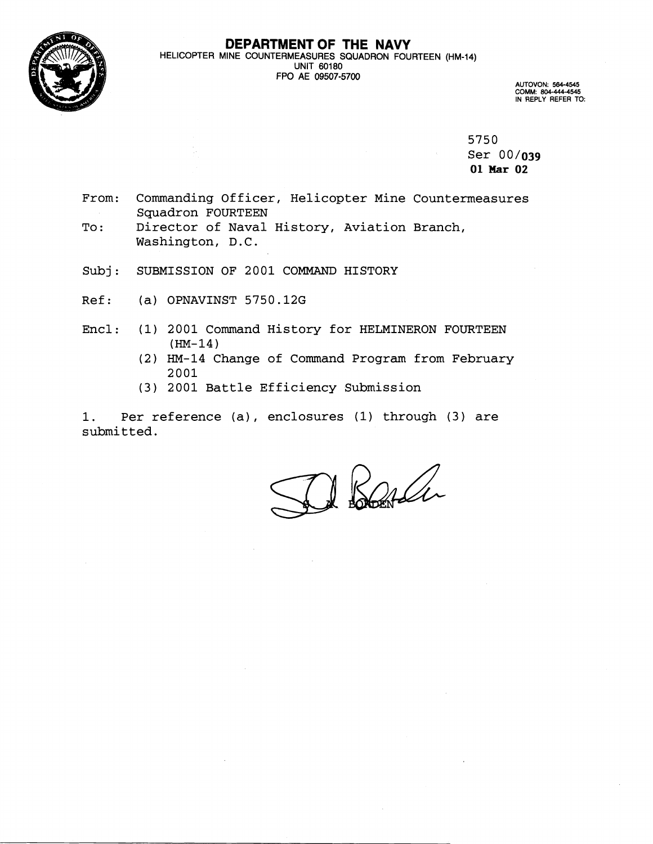

### **DEPARTMENT OF THE NAVY**  HELICOPTER MINE COUNTERMEASURES SQUADRON FOURTEEN (HM-14) UNIT 60180 FPO **AE 09507-5700**

AUTOVON: 564-4545 COMM: **604-444-4545**  IN REPLY REFER TO:

5750

Ser 00/03g 01 Mar 02

- From: Commanding Officer, Helicopter Mine Countermeasures Squadron FOURTEEN
- To: Director of Naval History, Aviation Branch, Washington, D.C.
- Subj: SUBMISSION OF 2001 COMMAND HISTORY
- Ref: (a) OPNAVINST 5750.12G
- Encl: (1) 2001 Command History for HELMINERON FOURTEEN **(HM-14)** 
	- (2) HM-14 Change of Command Program from February 2001
	- (3) 2001 Battle Efficiency Submission

1. Per reference (a), enclosures (1) through (3) are submitted.

1 Barda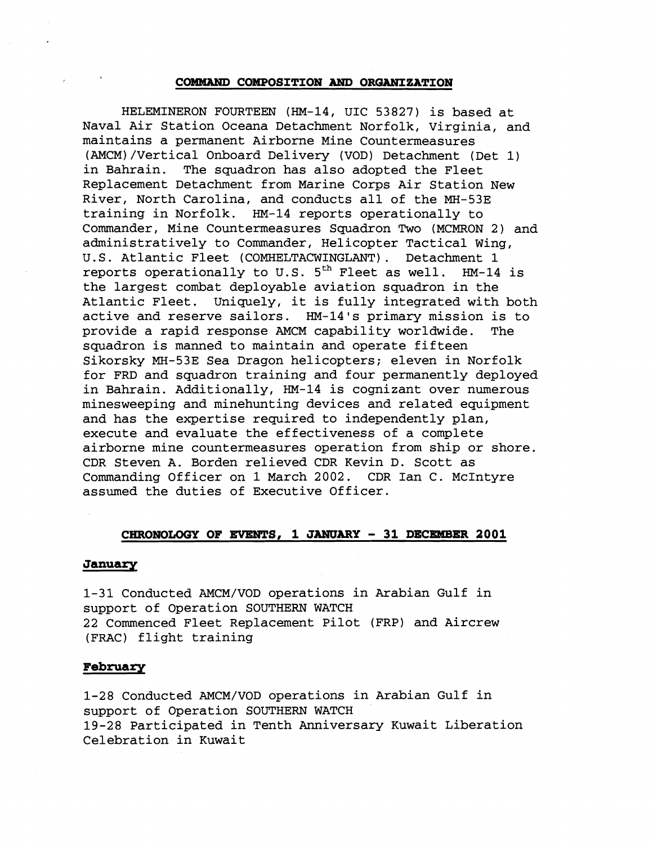## **COMMAND COMPOSITION AND ORGANIZATION**

HELEMINERON FOURTEEN (HM-14, UIC 53827) is based at Naval Air Station Oceana Detachment Norfolk, Virginia, and maintains a permanent Airborne Mine Countermeasures (AMCM)/Vertical Onboard Delivery (VOD) Detachment (Det 1) in Bahrain. The squadron has also adopted the Fleet Replacement Detachment from Marine Corps Air Station New River, North Carolina, and conducts all of the MH-53E training in Norfolk. HM-14 reports operationally to Commander, Mine Countermeasures Squadron Two (MCMRON 2) and administratively to Commander, Helicopter Tactical Wing, U.S. Atlantic Fleet (COMHELTACWINGLANT) . Detachment 1 reports operationally to U.S. **5th** Fleet as well. HM-14 is the largest combat deployable aviation squadron in the Atlantic Fleet. Uniquely, it is fully integrated with both active and reserve sailors. HM-14's primary mission is to provide a rapid response AMCM capability worldwide. The squadron is manned to maintain and operate fifteen Sikorsky MH-53E Sea Dragon helicopters; eleven in Norfolk for FRD and squadron training and four permanently deployed in Bahrain. Additionally, HM-14 is cognizant over numerous minesweeping and minehunting devices and related equipment and has the expertise required to independently plan, execute and evaluate the effectiveness of a complete airborne mine countermeasures operation from ship or shore. CDR Steven A. Borden relieved CDR Kevin D. Scott as Commanding Officer on 1 March 2002. CDR Ian C. McIntyre assumed the duties of Executive Officer.

# CHRONOLOGY OF EVENTS, 1 JANUARY - 31 DECEMBER 2001

#### **January**

1-31 Conducted AMCM/VOD operations in Arabian Gulf in support of Operation SOUTHERN WATCH 22 Commenced Fleet Replacement Pilot (FRP) and Aircrew (FRAC) flight training

## **February**

1-28 Conducted AMCM/VOD operations in Arabian Gulf in support of Operation SOUTHERN WATCH 19-28 Participated in Tenth Anniversary Kuwait Liberation Celebration in Kuwait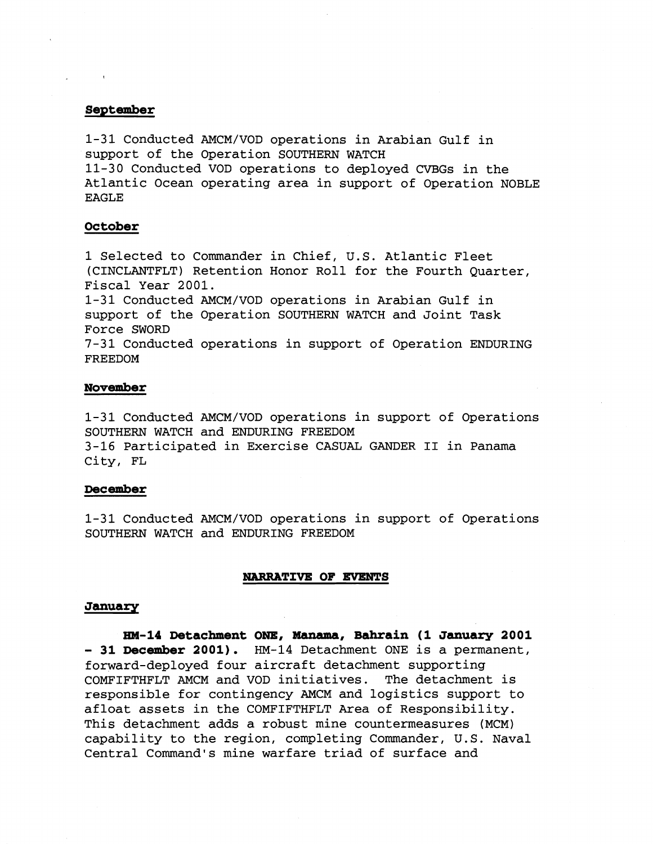# **September**

1-31 Conducted AMCM/VOD operations in Arabian Gulf in support of the Operation SOUTHERN WATCH 11-30 Conducted VOD operations to deployed CVBGs in the Atlantic Ocean operating area in support of Operation NOBLE EAGLE

# **October**

1 Selected to Commander in Chief, U.S. Atlantic Fleet (CINCLANTFLT) Retention Honor Roll for the Fourth Quarter, Fiscal Year 2001.

1-31 Conducted AMCM/VOD operations in Arabian Gulf in support of the Operation SOUTHERN WATCH and Joint Task Force SWORD

7-31 Conducted operations in support of Operation ENDURING FREEDOM

#### **November**

1-31 Conducted AMCM/VOD operations in support of Operations SOUTHERN WATCH and ENDURING FREEDOM 3-16 Participated in Exercise CASUAL GANDER I1 in Panama City, FL

### **December**

1-31 Conducted AMCM/VOD operations in support of Operations SOUTHERN WATCH and ENDURING FREEDOM

#### **NARRATIVE OF EVENTS**

## **January**

**HW-14 Detachment ONE# Manamaf Bahrain (1 January 2001**  - 31 December 2001). HM-14 Detachment ONE is a permanent, forward-deployed four aircraft detachment supporting COMFIFTHFLT AMCM and VOD initiatives. The detachment is responsible for contingency AMCM and logistics support to afloat assets in the COMFIFTHFLT Area of Responsibility. This detachment adds a robust mine countermeasures (MCM) capability to the region, completing Commander, U.S. Naval Central Command's mine warfare triad of surface and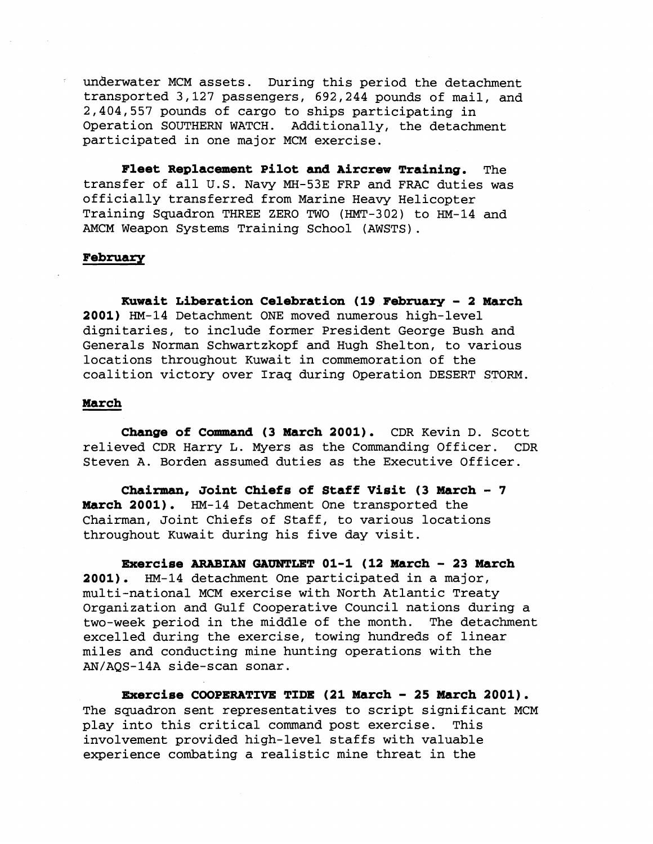underwater MCM assets. During this period the detachment transported 3,127 passengers, 692,244 pounds of mail, and 2,404,557 pounds of cargo to ships participating in Operation SOUTHERN WATCH. Additionally, the detachment participated in one major MCM exercise.

**Fleet Replacement Pilot and Aircrew Training.** The transfer of all U.S. Navy MH-53E FRP and FRAC duties was officially transferred from Marine Heavy Helicopter Training Squadron THREE ZERO TWO (HMT-302) to HM-14 and AMCM Weapon Systems Training School (AWSTS) .

# **February**

**Kuwait Liberation Celebration (19 February** - **2 March 2001)** HM-14 Detachment ONE moved numerous high-level dignitaries, to include former President George Bush and Generals Norman Schwartzkopf and Hugh Shelton, to various locations throughout Kuwait in commemoration of the coalition victory over Iraq during Operation DESERT STORM.

## **March**

**Change of Command (3 March 2001).** CDR Kevin D. Scott relieved CDR Harry L. Myers as the Commanding Officer. CDR Steven A. Borden assumed duties as the Executive Officer.

**Chairman, Joint Chiefs of Staff Visit (3 March** - **<sup>7</sup> March 2001).** HM-14 Detachment One transported the Chairman, Joint Chiefs of Staff, to various locations throughout Kuwait during his five day visit.

**Exercise ARABIAN GAUNTLET 01-1 (12 March** - **23 March 2001).** HM-14 detachment One participated in a major, multi-national MCM exercise with North Atlantic Treaty Organization and Gulf Cooperative Council nations during a two-week period in the middle of the month. The detachment excelled during the exercise, towing hundreds of linear miles and conducting mine hunting operations with the AN/AQS-14A side-scan sonar.

**Exercise COOPERATIVE TIDE (21 March** - **25 March 2001).**  The squadron sent representatives to script significant MCM play into this critical command post exercise. This involvement provided high-level staffs with valuable experience combating a realistic mine threat in the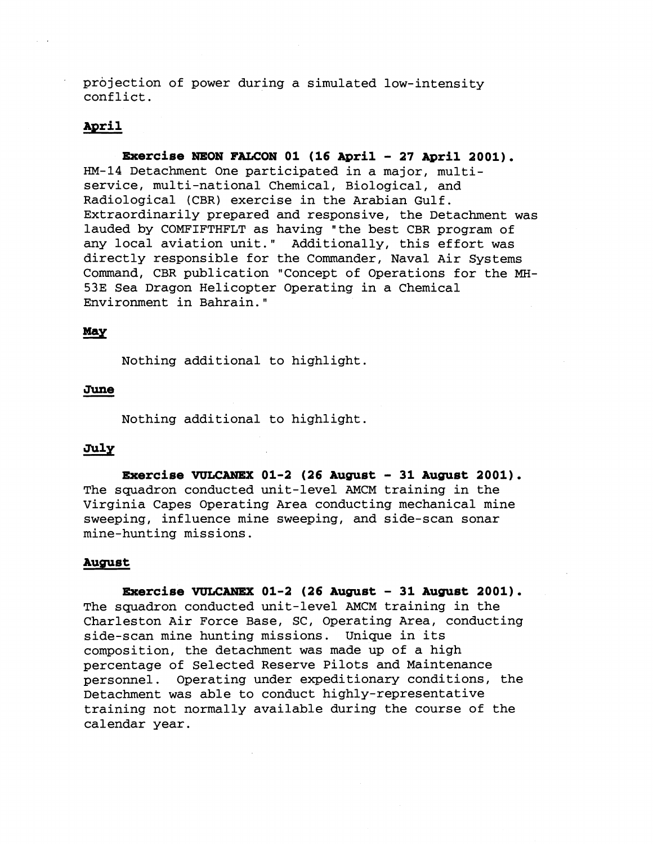projection of power during a simulated low-intensity conflict.

## April

**Exercise NEON FALCON 01 (16 April - 27 April 2001).** HM-14 Detachment One participated in a major, multiservice, multi-national Chemical, Biological, and Radiological (CBR) exercise in the Arabian Gulf. Extraordinarily prepared and responsive, the Detachment was lauded by COMFIFTHFLT as having "the best CBR program of any local aviation unit." Additionally, this effort was directly responsible for the Commander, Naval Air Systems Command, CBR publication "Concept of Operations for the **MH-**53E Sea Dragon Helicopter Operating in a Chemical Environment in Bahrain."

# May

Nothing additional to highlight.

# June

Nothing additional to highlight.

# July

**Ezaercise WLCANEX 01-2 (26 August** - **31 August 2001).**  The squadron conducted unit-level AMCM training in the Virginia Capes Operating Area conducting mechanical mine sweeping, influence mine sweeping, and side-scan sonar mine-hunting missions.

#### **August**

**mercise WLCANEX 01-2 (26 August** - **31 August 2001).**  The squadron conducted unit-level AMCM training in the Charleston Air Force Base, SC, Operating Area, conducting side-scan mine hunting missions. Unique in its composition, the detachment was made up of a high percentage of Selected Reserve Pilots and Maintenance personnel. Operating under expeditionary conditions, the Detachment was able to conduct highly-representative training not normally available during the course of the calendar year.